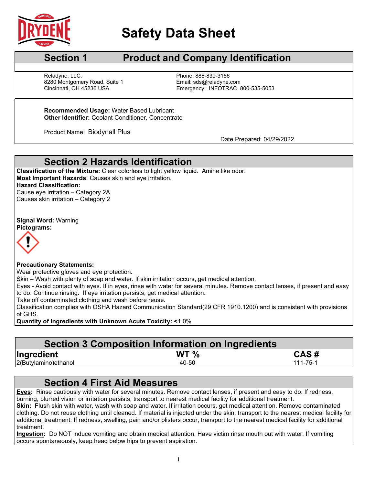

# **Safety Data Sheet**

### **Section 1 Product and Company Identification**

Reladyne, LLC. Phone: 888-830-3156 8280 Montgomery Road, Suite 1 Email: sds@reladyne.com<br>Cincinnati, OH 45236 USA Emergency: INFOTRAC

Emergency: INFOTRAC 800-535-5053

**Recommended Usage:** Water Based Lubricant **Other Identifier:** Coolant Conditioner, Concentrate

Product Name: Biodynall Plus<br>Date Prepared: 04/29/2022

### **Section 2 Hazards Identification**

**Classification of the Mixture:** Clear colorless to light yellow liquid. Amine like odor. **Most Important Hazards**: Causes skin and eye irritation. **Hazard Classification:** Cause eye irritation – Category 2A

Causes skin irritation – Category 2

**Signal Word:** Warning **Pictograms:**



#### **Precautionary Statements:**

Wear protective gloves and eye protection.

Skin – Wash with plenty of soap and water. If skin irritation occurs, get medical attention.

Eyes - Avoid contact with eyes. If in eyes, rinse with water for several minutes. Remove contact lenses, if present and easy to do. Continue rinsing. If eye irritation persists, get medical attention.

Take off contaminated clothing and wash before reuse.

Classification complies with OSHA Hazard Communication Standard(29 CFR 1910.1200) and is consistent with provisions of GHS.

**Quantity of Ingredients with Unknown Acute Toxicity: <**1.0%

### **Section 3 Composition Information on Ingredients**

| Ingredient            | WT <sub>%</sub> | CAS#     |
|-----------------------|-----------------|----------|
| 2(Butylamino) ethanol | 40-50           | 111-75-1 |

## **Section 4 First Aid Measures**

**Eyes:** Rinse cautiously with water for several minutes. Remove contact lenses, if present and easy to do. If redness, burning, blurred vision or irritation persists, transport to nearest medical facility for additional treatment.

**Skin:** Flush skin with water, wash with soap and water. If irritation occurs, get medical attention. Remove contaminated clothing. Do not reuse clothing until cleaned. If material is injected under the skin, transport to the nearest medical facility for additional treatment. If redness, swelling, pain and/or blisters occur, transport to the nearest medical facility for additional treatment.

**Ingestion:** Do NOT induce vomiting and obtain medical attention. Have victim rinse mouth out with water. If vomiting occurs spontaneously, keep head below hips to prevent aspiration.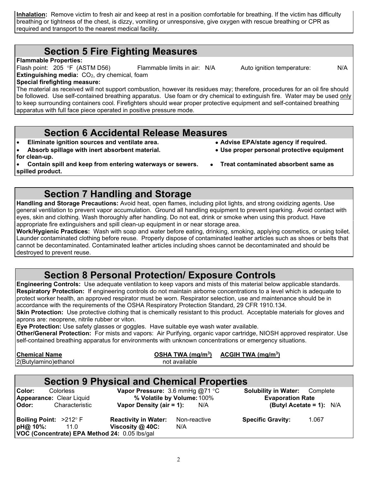**Inhalation:** Remove victim to fresh air and keep at rest in a position comfortable for breathing. If the victim has difficulty breathing or tightness of the chest, is dizzy, vomiting or unresponsive, give oxygen with rescue breathing or CPR as required and transport to the nearest medical facility.

#### **Section 5 Fire Fighting Measures**

**Flammable Properties:** 

Flash point: 205 °F (ASTM D56) Flammable limits in air: N/A Auto ignition temperature: N/A **Extinguishing media: CO<sub>2</sub>, dry chemical, foam** 

**Special firefighting measure:**

The material as received will not support combustion, however its residues may; therefore, procedures for an oil fire should be followed. Use self-contained breathing apparatus. Use foam or dry chemical to extinguish fire. Water may be used only to keep surrounding containers cool. Firefighters should wear proper protective equipment and self-contained breathing apparatus with full face piece operated in positive pressure mode.

#### **Section 6 Accidental Release Measures**

- **Eliminate ignition sources and ventilate area. Advise EPA/state agency if required.**
- Absorb spillage with inert absorbent material.
- **for clean-up.**
- **Contain spill and keep from entering waterways or sewers. Treat contaminated absorbent same as spilled product.**

#### **Section 7 Handling and Storage**

**Handling and Storage Precautions:** Avoid heat, open flames, including pilot lights, and strong oxidizing agents. Use general ventilation to prevent vapor accumulation. Ground all handling equipment to prevent sparking. Avoid contact with eyes, skin and clothing. Wash thoroughly after handling. Do not eat, drink or smoke when using this product. Have appropriate fire extinguishers and spill clean-up equipment in or near storage area.

**Work/Hygienic Practices:** Wash with soap and water before eating, drinking, smoking, applying cosmetics, or using toilet. Launder contaminated clothing before reuse. Properly dispose of contaminated leather articles such as shoes or belts that cannot be decontaminated. Contaminated leather articles including shoes cannot be decontaminated and should be destroyed to prevent reuse.

### **Section 8 Personal Protection/ Exposure Controls**

**Engineering Controls:** Use adequate ventilation to keep vapors and mists of this material below applicable standards. **Respiratory Protection:** If engineering controls do not maintain airborne concentrations to a level which is adequate to protect worker health, an approved respirator must be worn. Respirator selection, use and maintenance should be in accordance with the requirements of the OSHA Respiratory Protection Standard, 29 CFR 1910.134.

**Skin Protection:** Use protective clothing that is chemically resistant to this product. Acceptable materials for gloves and aprons are: neoprene, nitrile rubber or viton.

**Eye Protection:** Use safety glasses or goggles. Have suitable eye wash water available.

**Other/General Protection:** For mists and vapors: Air Purifying, organic vapor cartridge, NIOSH approved respirator. Use self-contained breathing apparatus for environments with unknown concentrations or emergency situations.

| <b>Chemical Name</b>  | OSHA TWA $(mg/m3)$ | ACGIH TWA $(mg/m3)$ |
|-----------------------|--------------------|---------------------|
| 2(Butylamino) ethanol | not available      |                     |
|                       |                    |                     |

#### **Section 9 Physical and Chemical Properties**

| Color:<br><b>Appearance: Clear Liquid</b>          | <b>Colorless</b>                                      | Vapor Pressure: 3.6 mmHg $@71$ °C<br>% Volatile by Volume: 100% |                     | <b>Solubility in Water:</b> Complete<br><b>Evaporation Rate</b> |       |
|----------------------------------------------------|-------------------------------------------------------|-----------------------------------------------------------------|---------------------|-----------------------------------------------------------------|-------|
| Odor:                                              | Characteristic                                        | Vapor Density (air = 1):                                        | N/A                 | (Butyl Acetate = 1): $N/A$                                      |       |
| <b>Boiling Point:</b> $>212^{\circ}$ F<br>pH@ 10%: | 11.0<br>VOC (Concentrate) EPA Method 24: 0.05 lbs/gal | <b>Reactivity in Water:</b><br>Viscosity $@$ 40C:               | Non-reactive<br>N/A | <b>Specific Gravity:</b>                                        | 1.067 |

- 
- 
-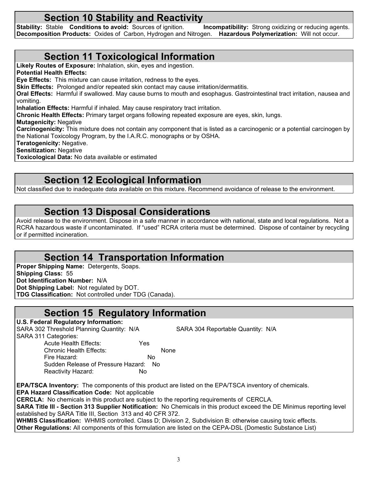**Section 10 Stability and Reactivity**<br>Stable Conditions to avoid: Sources of ignition. Incompatibility: Strong oxidizing or reducing agents. **Stability: Stable <b>Conditions to avoid:** Sources of ignition. **Decomposition Products:** Oxides of Carbon, Hydrogen and Nitrogen. **Hazardous Polymerization:** Will not occur.

#### **Section 11 Toxicological Information**

**Likely Routes of Exposure:** Inhalation, skin, eyes and ingestion. **Potential Health Effects: Eye Effects:** This mixture can cause irritation, redness to the eyes. **Skin Effects:** Prolonged and/or repeated skin contact may cause irritation/dermatitis. **Oral Effects:** Harmful if swallowed. May cause burns to mouth and esophagus. Gastrointestinal tract irritation, nausea and vomiting. **Inhalation Effects:** Harmful if inhaled. May cause respiratory tract irritation. **Chronic Health Effects:** Primary target organs following repeated exposure are eyes, skin, lungs. **Mutagenicity:** Negative **Carcinogenicity:** This mixture does not contain any component that is listed as a carcinogenic or a potential carcinogen by the National Toxicology Program, by the I.A.R.C. monographs or by OSHA. **Teratogenicity:** Negative. **Sensitization:** Negative

**Toxicological Data:** No data available or estimated

## **Section 12 Ecological Information**

Not classified due to inadequate data available on this mixture. Recommend avoidance of release to the environment.

#### **Section 13 Disposal Considerations**

Avoid release to the environment. Dispose in a safe manner in accordance with national, state and local regulations. Not a RCRA hazardous waste if uncontaminated. If "used" RCRA criteria must be determined. Dispose of container by recycling or if permitted incineration.

### **Section 14 Transportation Information**

**Proper Shipping Name:** Detergents, Soaps. **Shipping Class:** 55 **Dot Identification Number:** N/A **Dot Shipping Label:** Not regulated by DOT. **TDG Classification:** Not controlled under TDG (Canada).

### **Section 15 Regulatory Information**

**U.S. Federal Regulatory Information:** SARA 302 Threshold Planning Quantity: N/A SARA 304 Reportable Quantity: N/A SARA 311 Categories:

Acute Health Effects: Yes Chronic Health Effects: None Fire Hazard: No Sudden Release of Pressure Hazard: No Reactivity Hazard: No

**EPA/TSCA Inventory:** The components of this product are listed on the EPA/TSCA inventory of chemicals. **EPA Hazard Classification Code:** Not applicable **CERCLA:** No chemicals in this product are subject to the reporting requirements of CERCLA.

**SARA Title III - Section 313 Supplier Notification:** No Chemicals in this product exceed the DE Minimus reporting level established by SARA Title III, Section 313 and 40 CFR 372.

**WHMIS Classification:** WHMIS controlled. Class D; Division 2, Subdivision B: otherwise causing toxic effects. **Other Regulations:** All components of this formulation are listed on the CEPA-DSL (Domestic Substance List)